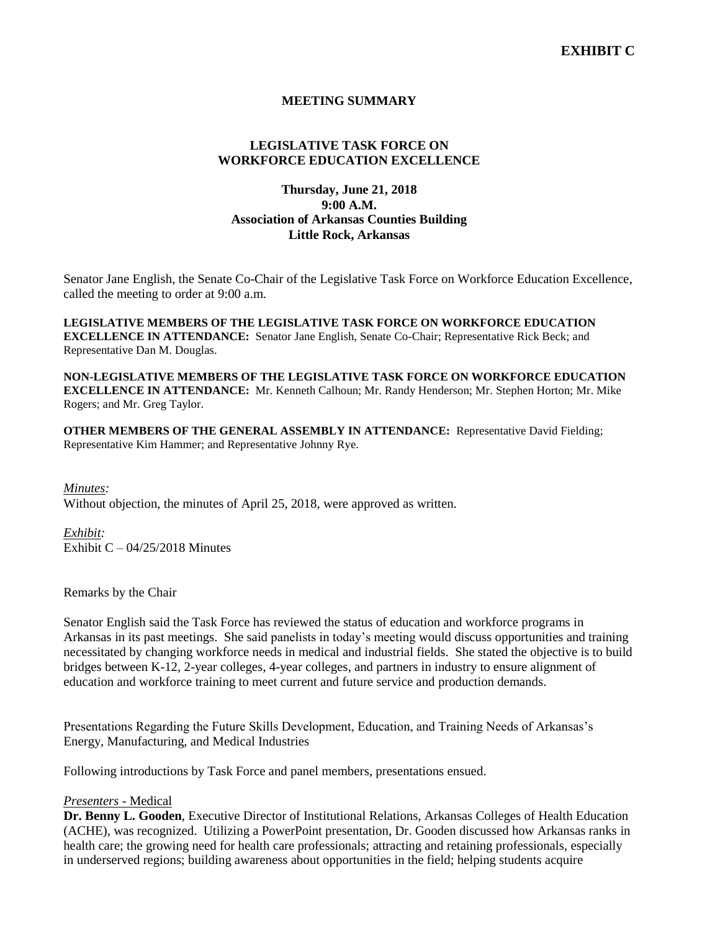# **MEETING SUMMARY**

# **LEGISLATIVE TASK FORCE ON WORKFORCE EDUCATION EXCELLENCE**

# **Thursday, June 21, 2018 9:00 A.M. Association of Arkansas Counties Building Little Rock, Arkansas**

Senator Jane English, the Senate Co-Chair of the Legislative Task Force on Workforce Education Excellence, called the meeting to order at 9:00 a.m.

**LEGISLATIVE MEMBERS OF THE LEGISLATIVE TASK FORCE ON WORKFORCE EDUCATION EXCELLENCE IN ATTENDANCE:** Senator Jane English, Senate Co-Chair; Representative Rick Beck; and Representative Dan M. Douglas.

**NON-LEGISLATIVE MEMBERS OF THE LEGISLATIVE TASK FORCE ON WORKFORCE EDUCATION EXCELLENCE IN ATTENDANCE:** Mr. Kenneth Calhoun; Mr. Randy Henderson; Mr. Stephen Horton; Mr. Mike Rogers; and Mr. Greg Taylor.

**OTHER MEMBERS OF THE GENERAL ASSEMBLY IN ATTENDANCE:** Representative David Fielding; Representative Kim Hammer; and Representative Johnny Rye.

*Minutes:* Without objection, the minutes of April 25, 2018, were approved as written.

*Exhibit:* Exhibit  $C - 04/25/2018$  Minutes

Remarks by the Chair

Senator English said the Task Force has reviewed the status of education and workforce programs in Arkansas in its past meetings. She said panelists in today's meeting would discuss opportunities and training necessitated by changing workforce needs in medical and industrial fields. She stated the objective is to build bridges between K-12, 2-year colleges, 4-year colleges, and partners in industry to ensure alignment of education and workforce training to meet current and future service and production demands.

Presentations Regarding the Future Skills Development, Education, and Training Needs of Arkansas's Energy, Manufacturing, and Medical Industries

Following introductions by Task Force and panel members, presentations ensued.

# *Presenters -* Medical

**Dr. Benny L. Gooden**, Executive Director of Institutional Relations, Arkansas Colleges of Health Education (ACHE), was recognized. Utilizing a PowerPoint presentation, Dr. Gooden discussed how Arkansas ranks in health care; the growing need for health care professionals; attracting and retaining professionals, especially in underserved regions; building awareness about opportunities in the field; helping students acquire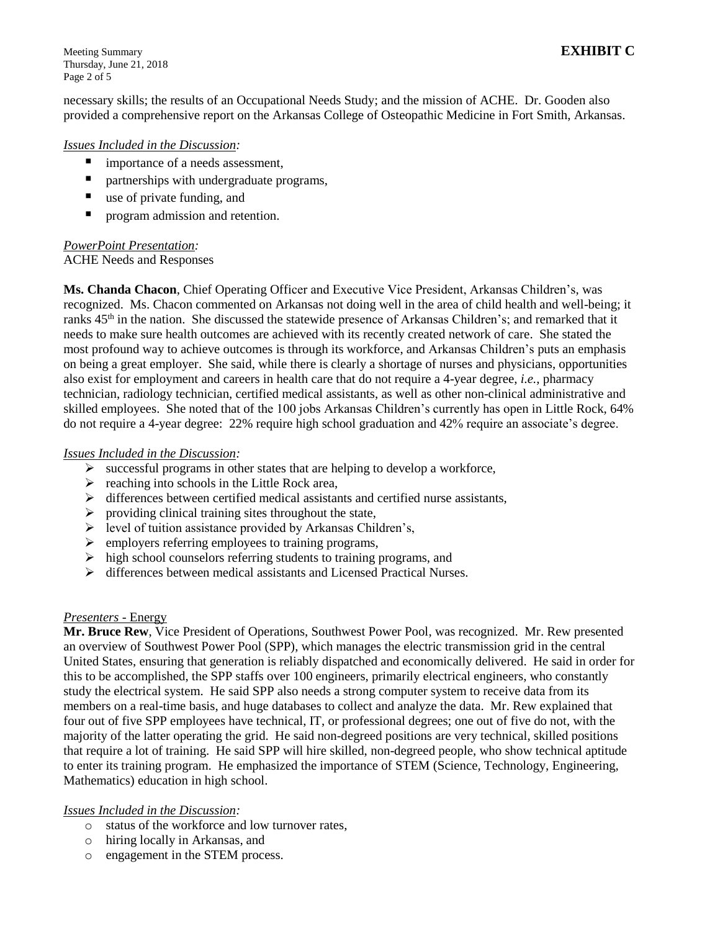Meeting Summary **EXHIBIT C** Thursday, June 21, 2018 Page 2 of 5

necessary skills; the results of an Occupational Needs Study; and the mission of ACHE. Dr. Gooden also provided a comprehensive report on the Arkansas College of Osteopathic Medicine in Fort Smith, Arkansas.

#### *Issues Included in the Discussion:*

- importance of a needs assessment,
- partnerships with undergraduate programs,
- use of private funding, and
- **P** program admission and retention.

#### *PowerPoint Presentation:* ACHE Needs and Responses

**Ms. Chanda Chacon**, Chief Operating Officer and Executive Vice President, Arkansas Children's, was recognized. Ms. Chacon commented on Arkansas not doing well in the area of child health and well-being; it ranks 45<sup>th</sup> in the nation. She discussed the statewide presence of Arkansas Children's; and remarked that it needs to make sure health outcomes are achieved with its recently created network of care. She stated the most profound way to achieve outcomes is through its workforce, and Arkansas Children's puts an emphasis on being a great employer. She said, while there is clearly a shortage of nurses and physicians, opportunities also exist for employment and careers in health care that do not require a 4-year degree, *i.e.*, pharmacy technician, radiology technician, certified medical assistants, as well as other non-clinical administrative and skilled employees. She noted that of the 100 jobs Arkansas Children's currently has open in Little Rock, 64% do not require a 4-year degree: 22% require high school graduation and 42% require an associate's degree.

#### *Issues Included in the Discussion:*

- $\triangleright$  successful programs in other states that are helping to develop a workforce,
- $\triangleright$  reaching into schools in the Little Rock area,
- $\triangleright$  differences between certified medical assistants and certified nurse assistants,
- $\triangleright$  providing clinical training sites throughout the state,
- $\triangleright$  level of tuition assistance provided by Arkansas Children's,
- $\triangleright$  employers referring employees to training programs,
- $\triangleright$  high school counselors referring students to training programs, and
- $\triangleright$  differences between medical assistants and Licensed Practical Nurses.

### *Presenters -* Energy

**Mr. Bruce Rew**, Vice President of Operations, Southwest Power Pool, was recognized. Mr. Rew presented an overview of Southwest Power Pool (SPP), which manages the electric transmission grid in the central United States, ensuring that generation is reliably dispatched and economically delivered. He said in order for this to be accomplished, the SPP staffs over 100 engineers, primarily electrical engineers, who constantly study the electrical system. He said SPP also needs a strong computer system to receive data from its members on a real-time basis, and huge databases to collect and analyze the data. Mr. Rew explained that four out of five SPP employees have technical, IT, or professional degrees; one out of five do not, with the majority of the latter operating the grid. He said non-degreed positions are very technical, skilled positions that require a lot of training. He said SPP will hire skilled, non-degreed people, who show technical aptitude to enter its training program. He emphasized the importance of STEM (Science, Technology, Engineering, Mathematics) education in high school.

### *Issues Included in the Discussion:*

- o status of the workforce and low turnover rates,
- o hiring locally in Arkansas, and
- o engagement in the STEM process.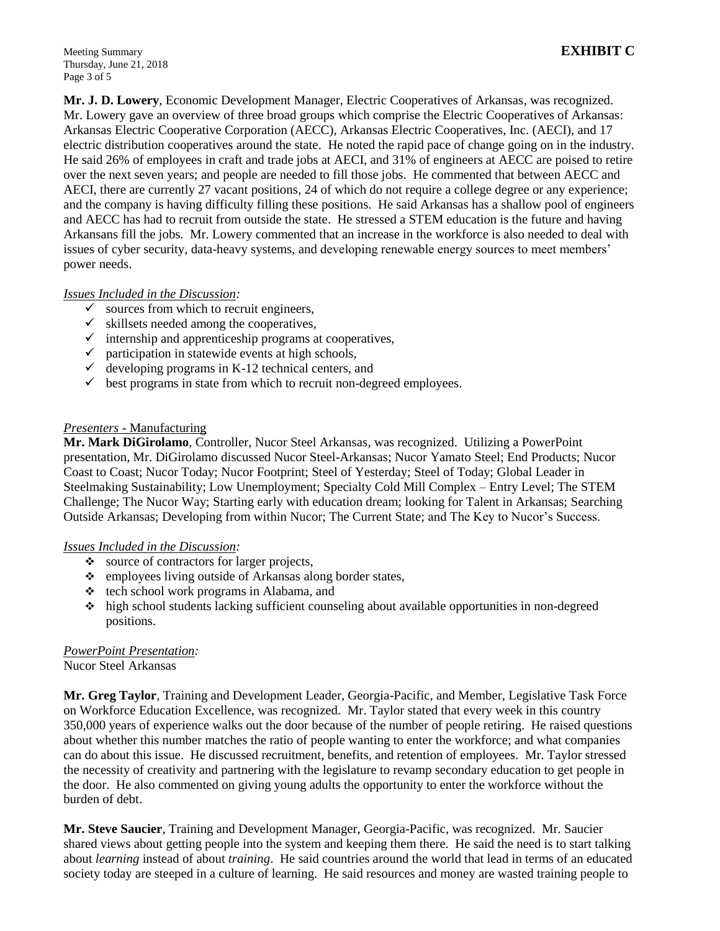**Mr. J. D. Lowery**, Economic Development Manager, Electric Cooperatives of Arkansas, was recognized. Mr. Lowery gave an overview of three broad groups which comprise the Electric Cooperatives of Arkansas: Arkansas Electric Cooperative Corporation (AECC), Arkansas Electric Cooperatives, Inc. (AECI), and 17 electric distribution cooperatives around the state. He noted the rapid pace of change going on in the industry. He said 26% of employees in craft and trade jobs at AECI, and 31% of engineers at AECC are poised to retire over the next seven years; and people are needed to fill those jobs. He commented that between AECC and AECI, there are currently 27 vacant positions, 24 of which do not require a college degree or any experience; and the company is having difficulty filling these positions. He said Arkansas has a shallow pool of engineers and AECC has had to recruit from outside the state. He stressed a STEM education is the future and having Arkansans fill the jobs. Mr. Lowery commented that an increase in the workforce is also needed to deal with issues of cyber security, data-heavy systems, and developing renewable energy sources to meet members' power needs.

# *Issues Included in the Discussion:*

- $\checkmark$  sources from which to recruit engineers,
- $\checkmark$  skillsets needed among the cooperatives,
- $\checkmark$  internship and apprenticeship programs at cooperatives,
- $\checkmark$  participation in statewide events at high schools,
- $\checkmark$  developing programs in K-12 technical centers, and
- $\checkmark$  best programs in state from which to recruit non-degreed employees.

### *Presenters -* Manufacturing

**Mr. Mark DiGirolamo**, Controller, Nucor Steel Arkansas, was recognized. Utilizing a PowerPoint presentation, Mr. DiGirolamo discussed Nucor Steel-Arkansas; Nucor Yamato Steel; End Products; Nucor Coast to Coast; Nucor Today; Nucor Footprint; Steel of Yesterday; Steel of Today; Global Leader in Steelmaking Sustainability; Low Unemployment; Specialty Cold Mill Complex – Entry Level; The STEM Challenge; The Nucor Way; Starting early with education dream; looking for Talent in Arkansas; Searching Outside Arkansas; Developing from within Nucor; The Current State; and The Key to Nucor's Success.

### *Issues Included in the Discussion:*

- source of contractors for larger projects,
- \* employees living outside of Arkansas along border states,
- $\div$  tech school work programs in Alabama, and
- high school students lacking sufficient counseling about available opportunities in non-degreed positions.

### *PowerPoint Presentation:*

Nucor Steel Arkansas

**Mr. Greg Taylor**, Training and Development Leader, Georgia-Pacific, and Member, Legislative Task Force on Workforce Education Excellence, was recognized. Mr. Taylor stated that every week in this country 350,000 years of experience walks out the door because of the number of people retiring. He raised questions about whether this number matches the ratio of people wanting to enter the workforce; and what companies can do about this issue. He discussed recruitment, benefits, and retention of employees. Mr. Taylor stressed the necessity of creativity and partnering with the legislature to revamp secondary education to get people in the door. He also commented on giving young adults the opportunity to enter the workforce without the burden of debt.

**Mr. Steve Saucier**, Training and Development Manager, Georgia-Pacific, was recognized. Mr. Saucier shared views about getting people into the system and keeping them there. He said the need is to start talking about *learning* instead of about *training*. He said countries around the world that lead in terms of an educated society today are steeped in a culture of learning. He said resources and money are wasted training people to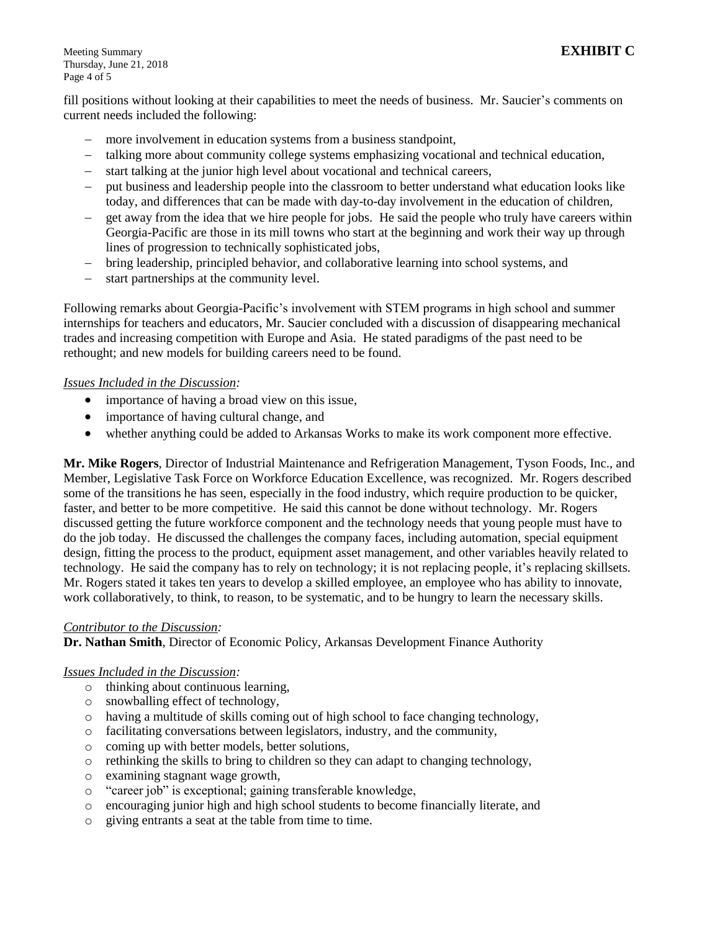Meeting Summary **EXHIBIT C** Thursday, June 21, 2018 Page 4 of 5

fill positions without looking at their capabilities to meet the needs of business. Mr. Saucier's comments on current needs included the following:

- more involvement in education systems from a business standpoint,
- talking more about community college systems emphasizing vocational and technical education,
- start talking at the junior high level about vocational and technical careers,
- put business and leadership people into the classroom to better understand what education looks like today, and differences that can be made with day-to-day involvement in the education of children,
- get away from the idea that we hire people for jobs. He said the people who truly have careers within Georgia-Pacific are those in its mill towns who start at the beginning and work their way up through lines of progression to technically sophisticated jobs,
- bring leadership, principled behavior, and collaborative learning into school systems, and
- start partnerships at the community level.

Following remarks about Georgia-Pacific's involvement with STEM programs in high school and summer internships for teachers and educators, Mr. Saucier concluded with a discussion of disappearing mechanical trades and increasing competition with Europe and Asia. He stated paradigms of the past need to be rethought; and new models for building careers need to be found.

### *Issues Included in the Discussion:*

- importance of having a broad view on this issue,
- importance of having cultural change, and
- whether anything could be added to Arkansas Works to make its work component more effective.

**Mr. Mike Rogers**, Director of Industrial Maintenance and Refrigeration Management, Tyson Foods, Inc., and Member, Legislative Task Force on Workforce Education Excellence, was recognized. Mr. Rogers described some of the transitions he has seen, especially in the food industry, which require production to be quicker, faster, and better to be more competitive. He said this cannot be done without technology. Mr. Rogers discussed getting the future workforce component and the technology needs that young people must have to do the job today. He discussed the challenges the company faces, including automation, special equipment design, fitting the process to the product, equipment asset management, and other variables heavily related to technology. He said the company has to rely on technology; it is not replacing people, it's replacing skillsets. Mr. Rogers stated it takes ten years to develop a skilled employee, an employee who has ability to innovate, work collaboratively, to think, to reason, to be systematic, and to be hungry to learn the necessary skills.

### *Contributor to the Discussion:*

**Dr. Nathan Smith**, Director of Economic Policy, Arkansas Development Finance Authority

### *Issues Included in the Discussion:*

- o thinking about continuous learning,
- o snowballing effect of technology,
- $\circ$  having a multitude of skills coming out of high school to face changing technology,
- o facilitating conversations between legislators, industry, and the community,
- o coming up with better models, better solutions,
- $\circ$  rethinking the skills to bring to children so they can adapt to changing technology,
- o examining stagnant wage growth,
- o "career job" is exceptional; gaining transferable knowledge,
- o encouraging junior high and high school students to become financially literate, and
- o giving entrants a seat at the table from time to time.